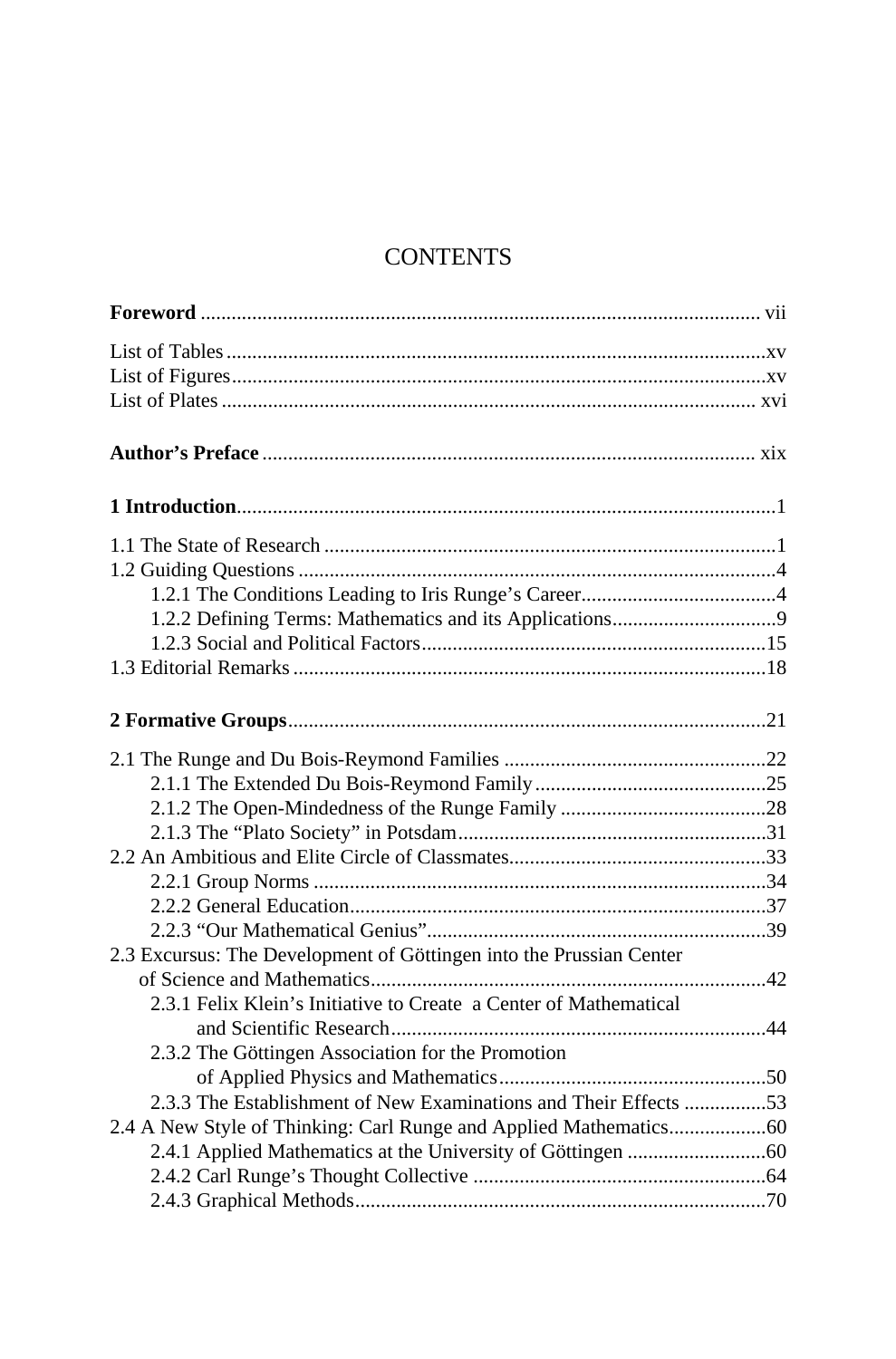# **CONTENTS**

| 2.3 Excursus: The Development of Göttingen into the Prussian Center |  |
|---------------------------------------------------------------------|--|
|                                                                     |  |
| 2.3.1 Felix Klein's Initiative to Create a Center of Mathematical   |  |
|                                                                     |  |
| 2.3.2 The Göttingen Association for the Promotion                   |  |
|                                                                     |  |
| 2.3.3 The Establishment of New Examinations and Their Effects 53    |  |
| 2.4 A New Style of Thinking: Carl Runge and Applied Mathematics60   |  |
|                                                                     |  |
|                                                                     |  |
|                                                                     |  |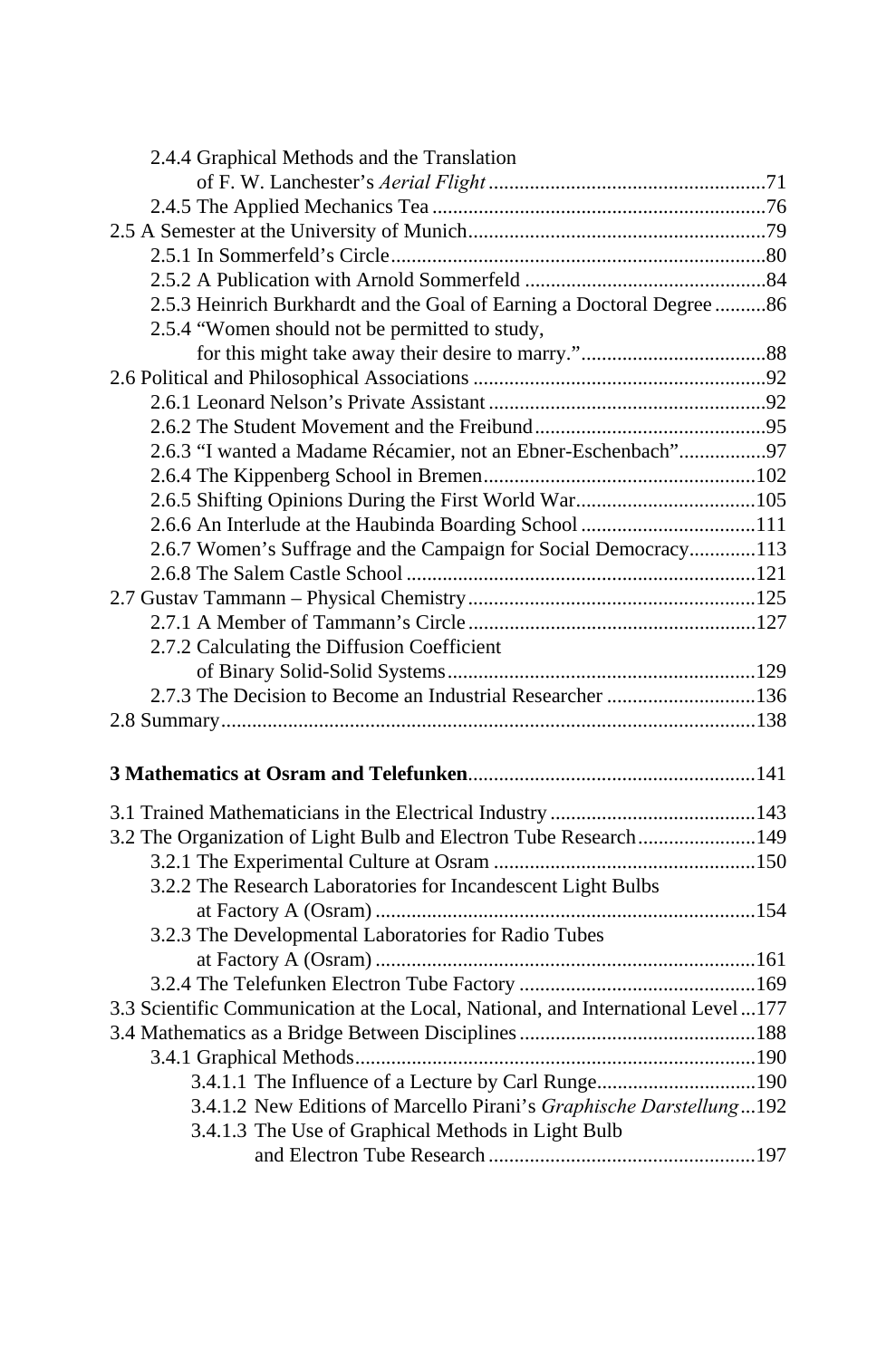| 2.4.4 Graphical Methods and the Translation                                       |  |
|-----------------------------------------------------------------------------------|--|
|                                                                                   |  |
|                                                                                   |  |
|                                                                                   |  |
|                                                                                   |  |
|                                                                                   |  |
| 2.5.3 Heinrich Burkhardt and the Goal of Earning a Doctoral Degree 86             |  |
| 2.5.4 "Women should not be permitted to study,                                    |  |
|                                                                                   |  |
|                                                                                   |  |
|                                                                                   |  |
|                                                                                   |  |
| 2.6.3 "I wanted a Madame Récamier, not an Ebner-Eschenbach"97                     |  |
|                                                                                   |  |
|                                                                                   |  |
| 2.6.6 An Interlude at the Haubinda Boarding School 111                            |  |
| 2.6.7 Women's Suffrage and the Campaign for Social Democracy113                   |  |
|                                                                                   |  |
|                                                                                   |  |
|                                                                                   |  |
| 2.7.2 Calculating the Diffusion Coefficient                                       |  |
|                                                                                   |  |
| 2.7.3 The Decision to Become an Industrial Researcher 136                         |  |
|                                                                                   |  |
|                                                                                   |  |
|                                                                                   |  |
|                                                                                   |  |
| 3.2 The Organization of Light Bulb and Electron Tube Research149                  |  |
|                                                                                   |  |
| 3.2.2 The Research Laboratories for Incandescent Light Bulbs                      |  |
|                                                                                   |  |
| 3.2.3 The Developmental Laboratories for Radio Tubes                              |  |
|                                                                                   |  |
|                                                                                   |  |
| 3.3 Scientific Communication at the Local, National, and International Level  177 |  |
|                                                                                   |  |
|                                                                                   |  |
| 3.4.1.1 The Influence of a Lecture by Carl Runge190                               |  |
| 3.4.1.2 New Editions of Marcello Pirani's Graphische Darstellung192               |  |
| 3.4.1.3 The Use of Graphical Methods in Light Bulb                                |  |
|                                                                                   |  |
|                                                                                   |  |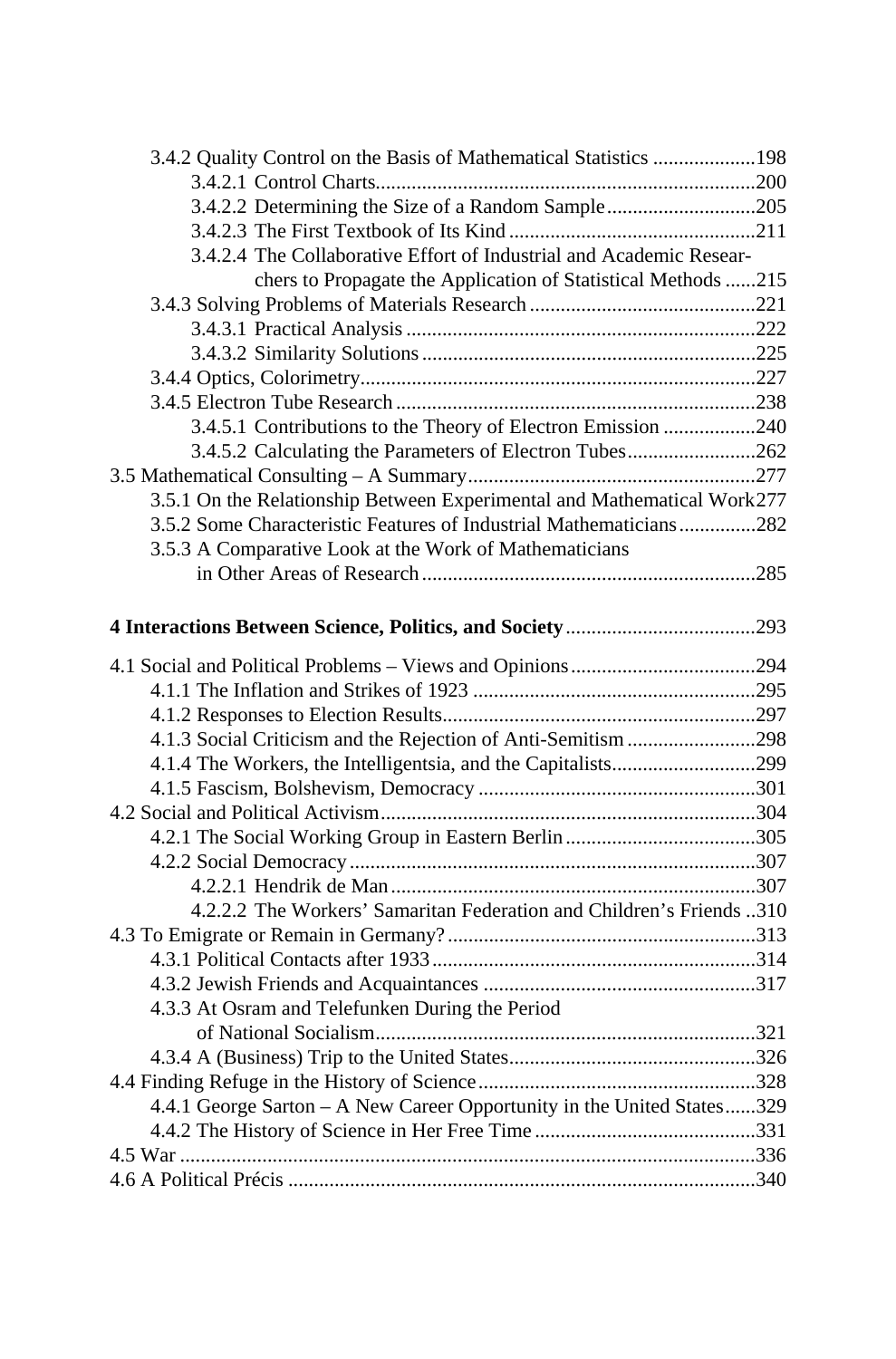| 3.4.2 Quality Control on the Basis of Mathematical Statistics 198       |  |
|-------------------------------------------------------------------------|--|
|                                                                         |  |
| 3.4.2.2 Determining the Size of a Random Sample205                      |  |
|                                                                         |  |
| 3.4.2.4 The Collaborative Effort of Industrial and Academic Resear-     |  |
| chers to Propagate the Application of Statistical Methods 215           |  |
|                                                                         |  |
|                                                                         |  |
|                                                                         |  |
|                                                                         |  |
|                                                                         |  |
| 3.4.5.1 Contributions to the Theory of Electron Emission 240            |  |
| 3.4.5.2 Calculating the Parameters of Electron Tubes262                 |  |
|                                                                         |  |
| 3.5.1 On the Relationship Between Experimental and Mathematical Work277 |  |
| 3.5.2 Some Characteristic Features of Industrial Mathematicians282      |  |
| 3.5.3 A Comparative Look at the Work of Mathematicians                  |  |
|                                                                         |  |
|                                                                         |  |
|                                                                         |  |
|                                                                         |  |
|                                                                         |  |
|                                                                         |  |
| 4.1.3 Social Criticism and the Rejection of Anti-Semitism 298           |  |
| 4.1.4 The Workers, the Intelligentsia, and the Capitalists299           |  |
|                                                                         |  |
|                                                                         |  |
|                                                                         |  |
|                                                                         |  |
|                                                                         |  |
| 4.2.2.2 The Workers' Samaritan Federation and Children's Friends 310    |  |
|                                                                         |  |
|                                                                         |  |
|                                                                         |  |
| 4.3.3 At Osram and Telefunken During the Period                         |  |
|                                                                         |  |
|                                                                         |  |
|                                                                         |  |
| 4.4.1 George Sarton - A New Career Opportunity in the United States329  |  |
|                                                                         |  |
|                                                                         |  |
|                                                                         |  |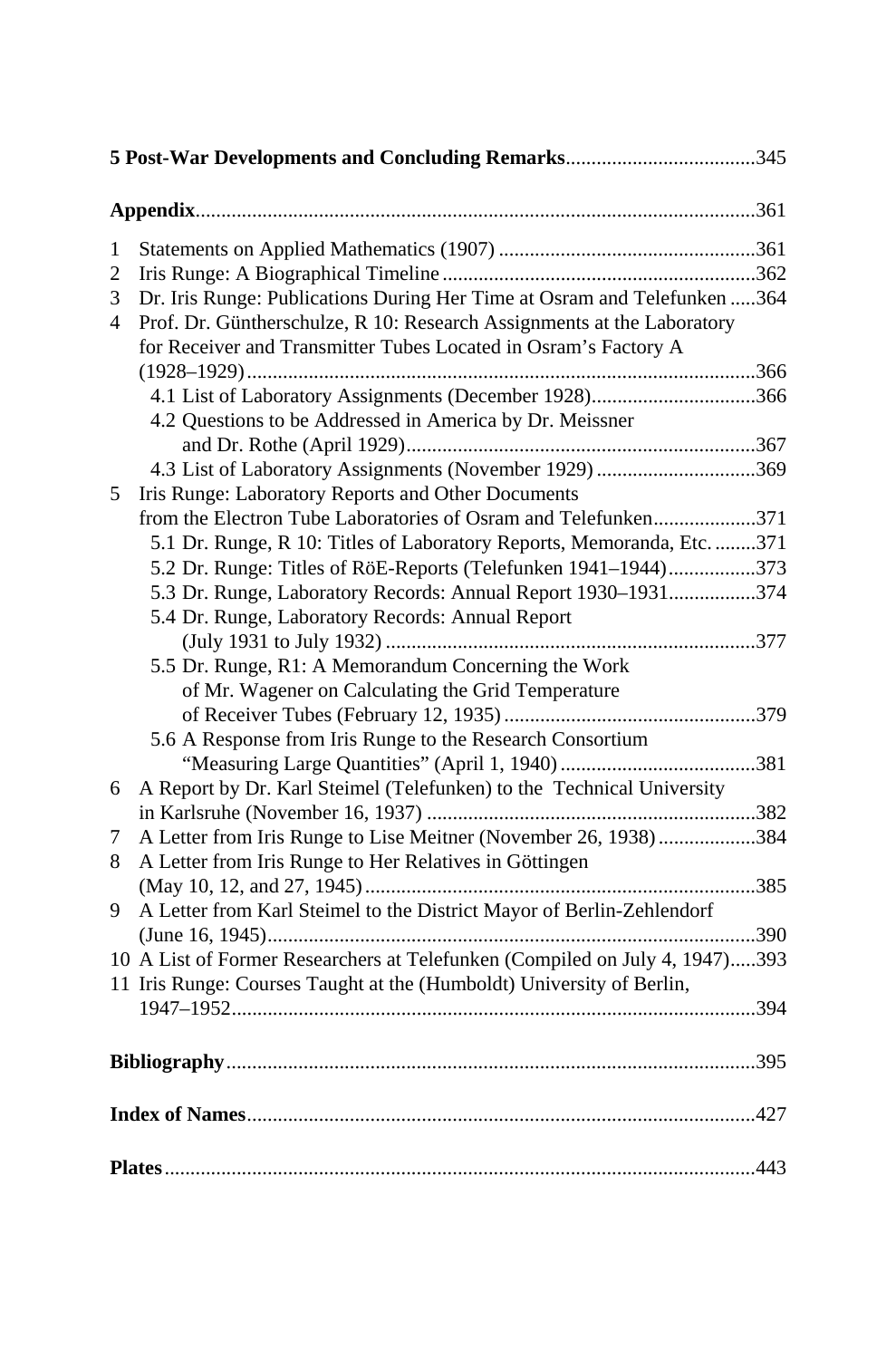| 1 |                                                                             |
|---|-----------------------------------------------------------------------------|
| 2 |                                                                             |
| 3 | Dr. Iris Runge: Publications During Her Time at Osram and Telefunken 364    |
| 4 | Prof. Dr. Güntherschulze, R 10: Research Assignments at the Laboratory      |
|   | for Receiver and Transmitter Tubes Located in Osram's Factory A             |
|   |                                                                             |
|   | 4.1 List of Laboratory Assignments (December 1928)366                       |
|   | 4.2 Questions to be Addressed in America by Dr. Meissner                    |
|   |                                                                             |
|   | 4.3 List of Laboratory Assignments (November 1929) 369                      |
| 5 | Iris Runge: Laboratory Reports and Other Documents                          |
|   | from the Electron Tube Laboratories of Osram and Telefunken371              |
|   | 5.1 Dr. Runge, R 10: Titles of Laboratory Reports, Memoranda, Etc. 371      |
|   | 5.2 Dr. Runge: Titles of RöE-Reports (Telefunken 1941-1944)373              |
|   | 5.3 Dr. Runge, Laboratory Records: Annual Report 1930-1931374               |
|   | 5.4 Dr. Runge, Laboratory Records: Annual Report                            |
|   |                                                                             |
|   | 5.5 Dr. Runge, R1: A Memorandum Concerning the Work                         |
|   | of Mr. Wagener on Calculating the Grid Temperature                          |
|   |                                                                             |
|   | 5.6 A Response from Iris Runge to the Research Consortium                   |
|   |                                                                             |
| 6 | A Report by Dr. Karl Steimel (Telefunken) to the Technical University       |
|   |                                                                             |
| 7 | A Letter from Iris Runge to Lise Meitner (November 26, 1938) 384            |
| 8 | A Letter from Iris Runge to Her Relatives in Göttingen                      |
|   |                                                                             |
| 9 | A Letter from Karl Steimel to the District Mayor of Berlin-Zehlendorf       |
|   |                                                                             |
|   | 10 A List of Former Researchers at Telefunken (Compiled on July 4, 1947)393 |
|   | 11 Iris Runge: Courses Taught at the (Humboldt) University of Berlin,       |
|   |                                                                             |
|   |                                                                             |
|   |                                                                             |
|   |                                                                             |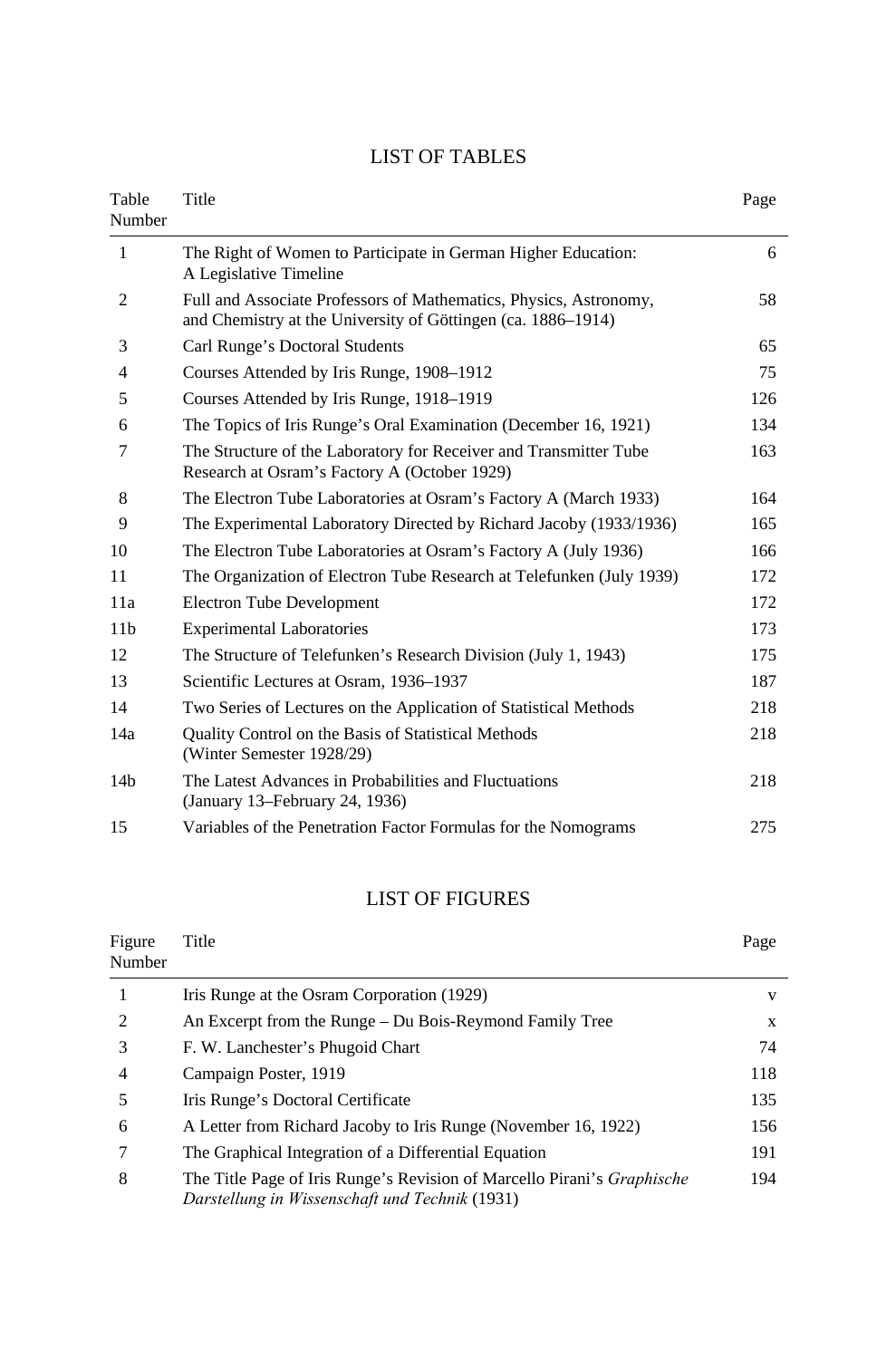| Table<br>Number | Title                                                                                                                             | Page |
|-----------------|-----------------------------------------------------------------------------------------------------------------------------------|------|
| 1               | The Right of Women to Participate in German Higher Education:<br>A Legislative Timeline                                           | 6    |
| 2               | Full and Associate Professors of Mathematics, Physics, Astronomy,<br>and Chemistry at the University of Göttingen (ca. 1886–1914) | 58   |
| 3               | Carl Runge's Doctoral Students                                                                                                    | 65   |
| 4               | Courses Attended by Iris Runge, 1908–1912                                                                                         | 75   |
| 5               | Courses Attended by Iris Runge, 1918–1919                                                                                         | 126  |
| 6               | The Topics of Iris Runge's Oral Examination (December 16, 1921)                                                                   | 134  |
| 7               | The Structure of the Laboratory for Receiver and Transmitter Tube<br>Research at Osram's Factory A (October 1929)                 | 163  |
| 8               | The Electron Tube Laboratories at Osram's Factory A (March 1933)                                                                  | 164  |
| 9               | The Experimental Laboratory Directed by Richard Jacoby (1933/1936)                                                                | 165  |
| 10              | The Electron Tube Laboratories at Osram's Factory A (July 1936)                                                                   | 166  |
| 11              | The Organization of Electron Tube Research at Telefunken (July 1939)                                                              | 172  |
| 11a             | Electron Tube Development                                                                                                         | 172  |
| 11 <sub>b</sub> | <b>Experimental Laboratories</b>                                                                                                  | 173  |
| 12              | The Structure of Telefunken's Research Division (July 1, 1943)                                                                    | 175  |
| 13              | Scientific Lectures at Osram, 1936–1937                                                                                           | 187  |
| 14              | Two Series of Lectures on the Application of Statistical Methods                                                                  | 218  |
| 14a             | Quality Control on the Basis of Statistical Methods<br>(Winter Semester 1928/29)                                                  | 218  |
| 14 <sub>b</sub> | The Latest Advances in Probabilities and Fluctuations<br>(January 13–February 24, 1936)                                           | 218  |
| 15              | Variables of the Penetration Factor Formulas for the Nomograms                                                                    | 275  |

## LIST OF TABLES

#### LIST OF FIGURES

| Figure<br>Number | Title                                                                                                                            | Page |
|------------------|----------------------------------------------------------------------------------------------------------------------------------|------|
|                  | Iris Runge at the Osram Corporation (1929)                                                                                       | v    |
| 2                | An Excerpt from the Runge – Du Bois-Reymond Family Tree                                                                          | X    |
| 3                | F. W. Lanchester's Phugoid Chart                                                                                                 | 74   |
| 4                | Campaign Poster, 1919                                                                                                            | 118  |
| 5                | Iris Runge's Doctoral Certificate                                                                                                | 135  |
| 6                | A Letter from Richard Jacoby to Iris Runge (November 16, 1922)                                                                   | 156  |
|                  | The Graphical Integration of a Differential Equation                                                                             | 191  |
| 8                | The Title Page of Iris Runge's Revision of Marcello Pirani's <i>Graphische</i><br>Darstellung in Wissenschaft und Technik (1931) | 194  |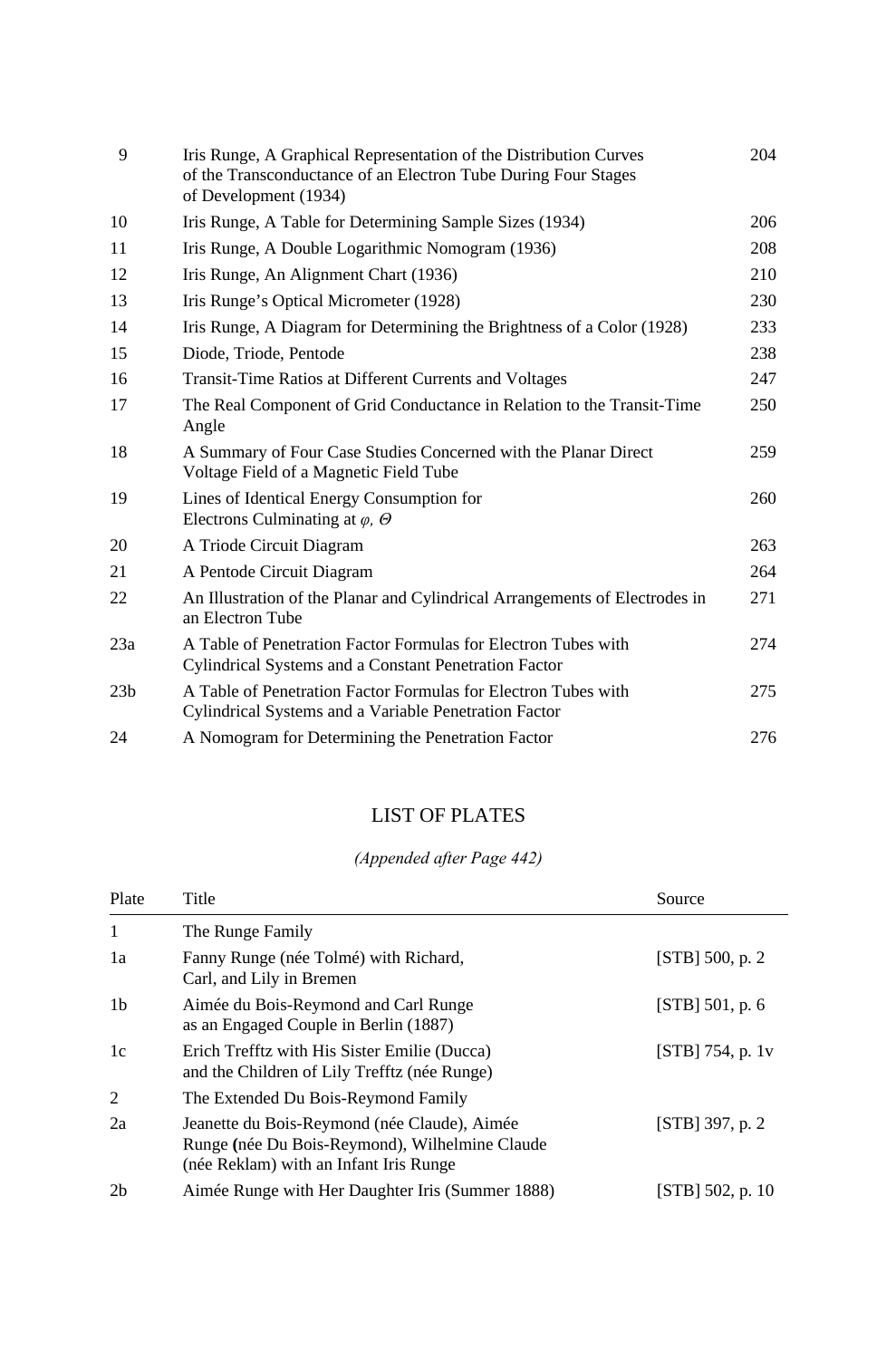| 9               | Iris Runge, A Graphical Representation of the Distribution Curves<br>of the Transconductance of an Electron Tube During Four Stages<br>of Development (1934) | 204 |
|-----------------|--------------------------------------------------------------------------------------------------------------------------------------------------------------|-----|
| 10              | Iris Runge, A Table for Determining Sample Sizes (1934)                                                                                                      | 206 |
| 11              | Iris Runge, A Double Logarithmic Nomogram (1936)                                                                                                             | 208 |
| 12              | Iris Runge, An Alignment Chart (1936)                                                                                                                        | 210 |
| 13              | Iris Runge's Optical Micrometer (1928)                                                                                                                       | 230 |
| 14              | Iris Runge, A Diagram for Determining the Brightness of a Color (1928)                                                                                       | 233 |
| 15              | Diode, Triode, Pentode                                                                                                                                       | 238 |
| 16              | Transit-Time Ratios at Different Currents and Voltages                                                                                                       | 247 |
| 17              | The Real Component of Grid Conductance in Relation to the Transit-Time<br>Angle                                                                              | 250 |
| 18              | A Summary of Four Case Studies Concerned with the Planar Direct<br>Voltage Field of a Magnetic Field Tube                                                    | 259 |
| 19              | Lines of Identical Energy Consumption for<br>Electrons Culminating at $\varphi$ , $\Theta$                                                                   | 260 |
| 20              | A Triode Circuit Diagram                                                                                                                                     | 263 |
| 21              | A Pentode Circuit Diagram                                                                                                                                    | 264 |
| 22              | An Illustration of the Planar and Cylindrical Arrangements of Electrodes in<br>an Electron Tube                                                              | 271 |
| 23a             | A Table of Penetration Factor Formulas for Electron Tubes with<br>Cylindrical Systems and a Constant Penetration Factor                                      | 274 |
| 23 <sub>b</sub> | A Table of Penetration Factor Formulas for Electron Tubes with<br>Cylindrical Systems and a Variable Penetration Factor                                      | 275 |
| 24              | A Nomogram for Determining the Penetration Factor                                                                                                            | 276 |

#### LIST OF PLATES

### *(Appended after Page 442)*

| Plate          | Title                                                                                                                                    | Source            |
|----------------|------------------------------------------------------------------------------------------------------------------------------------------|-------------------|
| 1              | The Runge Family                                                                                                                         |                   |
| 1a             | Fanny Runge (née Tolmé) with Richard,<br>Carl, and Lily in Bremen                                                                        | [STB] 500, p. 2   |
| 1 <sub>b</sub> | Aimée du Bois-Reymond and Carl Runge<br>as an Engaged Couple in Berlin (1887)                                                            | [STB] 501, p. 6   |
| 1c             | Erich Trefftz with His Sister Emilie (Ducca)<br>and the Children of Lily Trefftz (née Runge)                                             | [STB] 754, p. 1v  |
| 2              | The Extended Du Bois-Reymond Family                                                                                                      |                   |
| 2a             | Jeanette du Bois-Reymond (née Claude), Aimée<br>Runge (née Du Bois-Reymond), Wilhelmine Claude<br>(née Reklam) with an Infant Iris Runge | $[STB]$ 397, p. 2 |
| 2 <sub>b</sub> | Aimée Runge with Her Daughter Iris (Summer 1888)                                                                                         | [STB] 502, p. 10  |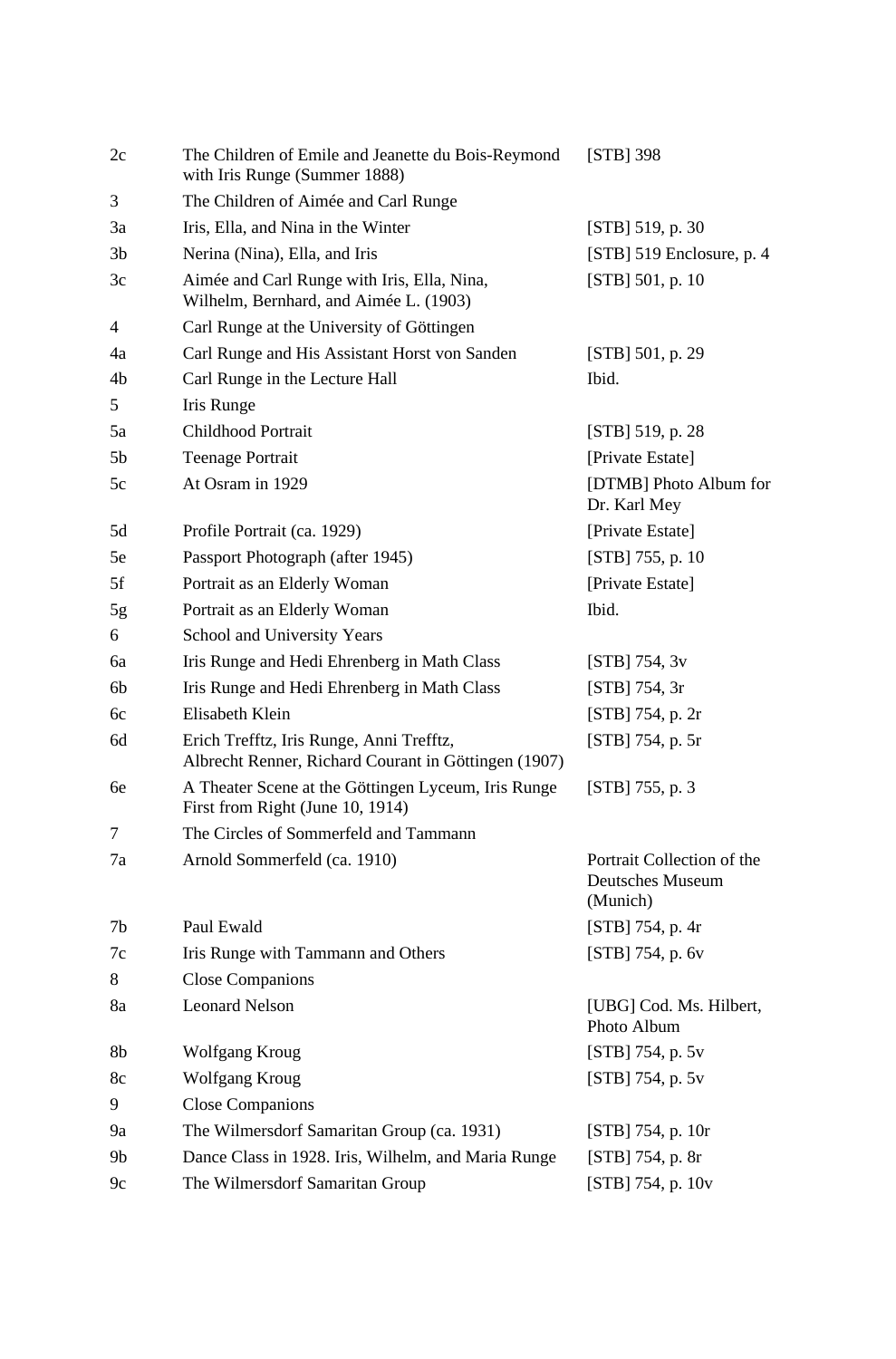| 2c | The Children of Emile and Jeanette du Bois-Reymond<br>with Iris Runge (Summer 1888)              | [STB] 398                                                  |
|----|--------------------------------------------------------------------------------------------------|------------------------------------------------------------|
| 3  | The Children of Aimée and Carl Runge                                                             |                                                            |
| 3a | Iris, Ella, and Nina in the Winter                                                               | $[STB] 519$ , p. 30                                        |
| 3b | Nerina (Nina), Ella, and Iris                                                                    | $[STB]$ 519 Enclosure, p. 4                                |
| 3c | Aimée and Carl Runge with Iris, Ella, Nina,<br>Wilhelm, Bernhard, and Aimée L. (1903)            | [STB] 501, p. 10                                           |
| 4  | Carl Runge at the University of Göttingen                                                        |                                                            |
| 4a | Carl Runge and His Assistant Horst von Sanden                                                    | [STB] 501, p. 29                                           |
| 4h | Carl Runge in the Lecture Hall                                                                   | Ibid.                                                      |
| 5  | Iris Runge                                                                                       |                                                            |
| 5a | Childhood Portrait                                                                               | [STB] 519, p. 28                                           |
| 5b | <b>Teenage Portrait</b>                                                                          | [Private Estate]                                           |
| 5с | At Osram in 1929                                                                                 | [DTMB] Photo Album for<br>Dr. Karl Mey                     |
| 5d | Profile Portrait (ca. 1929)                                                                      | [Private Estate]                                           |
| 5e | Passport Photograph (after 1945)                                                                 | $[STB]$ 755, p. 10                                         |
| 5f | Portrait as an Elderly Woman                                                                     | [Private Estate]                                           |
| 5g | Portrait as an Elderly Woman                                                                     | Ibid.                                                      |
| 6  | School and University Years                                                                      |                                                            |
| ба | Iris Runge and Hedi Ehrenberg in Math Class                                                      | [STB] 754, 3v                                              |
| 6b | Iris Runge and Hedi Ehrenberg in Math Class                                                      | $[STB]$ 754, 3r                                            |
| 6с | Elisabeth Klein                                                                                  | [STB] 754, p. 2r                                           |
| 6d | Erich Trefftz, Iris Runge, Anni Trefftz,<br>Albrecht Renner, Richard Courant in Göttingen (1907) | $[STB]$ 754, p. 5r                                         |
| бe | A Theater Scene at the Göttingen Lyceum, Iris Runge<br>First from Right (June 10, 1914)          | $[STB]$ 755, p. 3                                          |
| 7  | The Circles of Sommerfeld and Tammann                                                            |                                                            |
| 7a | Arnold Sommerfeld (ca. 1910)                                                                     | Portrait Collection of the<br>Deutsches Museum<br>(Munich) |
| 7b | Paul Ewald                                                                                       | $[STB]$ 754, p. 4r                                         |
| 7c | Iris Runge with Tammann and Others                                                               | $[STB]$ 754, p. 6v                                         |
| 8  | Close Companions                                                                                 |                                                            |
| 8a | <b>Leonard Nelson</b>                                                                            | [UBG] Cod. Ms. Hilbert,<br>Photo Album                     |
| 8b | Wolfgang Kroug                                                                                   | $[STB]$ 754, p. 5v                                         |
| 8c | Wolfgang Kroug                                                                                   | $[STB]$ 754, p. 5y                                         |
| 9  | Close Companions                                                                                 |                                                            |
| 9a | The Wilmersdorf Samaritan Group (ca. 1931)                                                       | $[STB]$ 754, p. 10r                                        |
| 9b | Dance Class in 1928. Iris, Wilhelm, and Maria Runge                                              | [STB] 754, p. 8r                                           |
| 9c | The Wilmersdorf Samaritan Group                                                                  | [STB] 754, p. 10v                                          |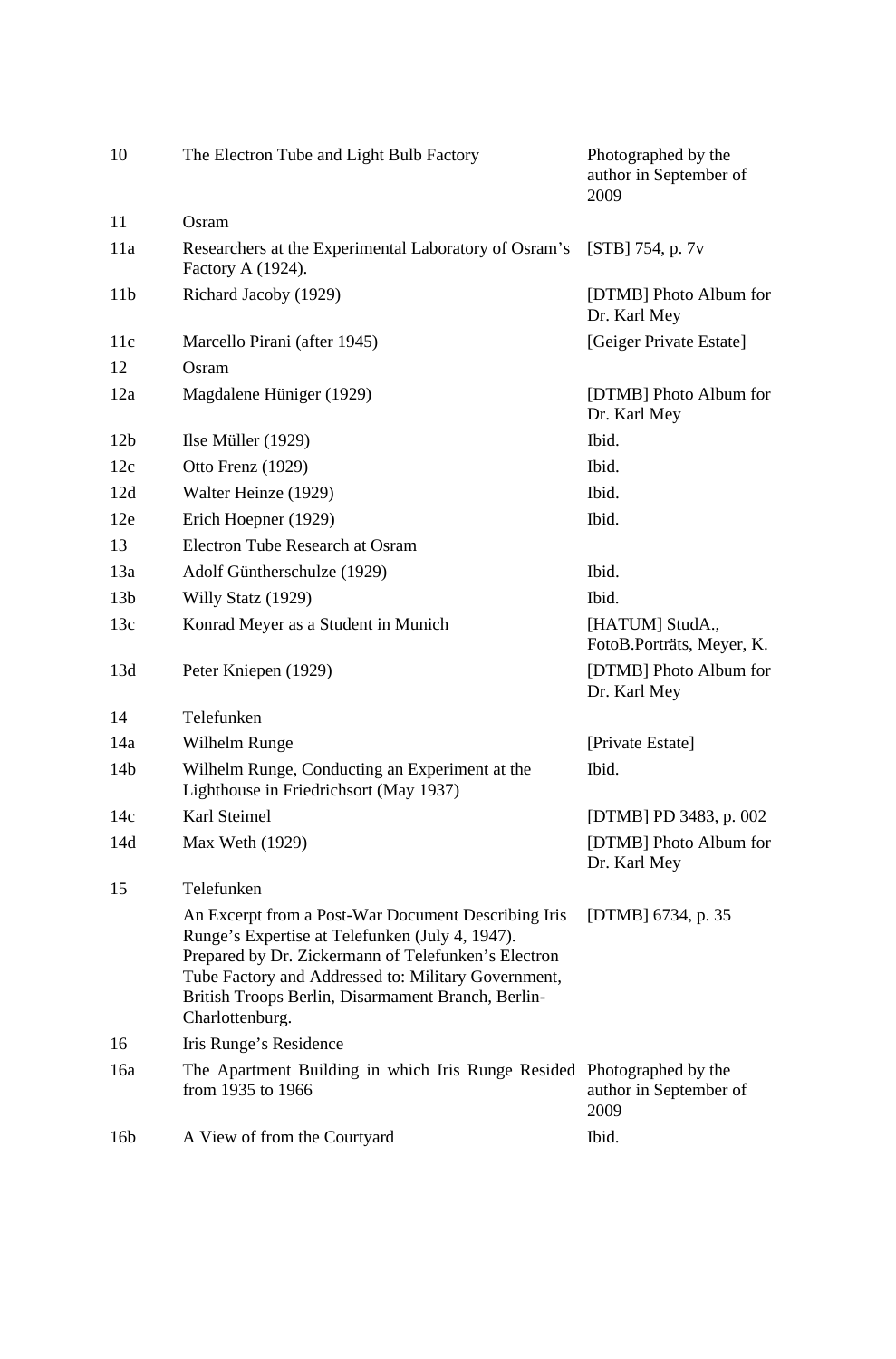| 10  | The Electron Tube and Light Bulb Factory                                                                                                                                                                                                                                                      | Photographed by the<br>author in September of<br>2009 |
|-----|-----------------------------------------------------------------------------------------------------------------------------------------------------------------------------------------------------------------------------------------------------------------------------------------------|-------------------------------------------------------|
| 11  | Osram                                                                                                                                                                                                                                                                                         |                                                       |
| 11a | Researchers at the Experimental Laboratory of Osram's<br>Factory A (1924).                                                                                                                                                                                                                    | $[STB]$ 754, p. 7 $v$                                 |
| 11b | Richard Jacoby (1929)                                                                                                                                                                                                                                                                         | [DTMB] Photo Album for<br>Dr. Karl Mey                |
| 11c | Marcello Pirani (after 1945)                                                                                                                                                                                                                                                                  | [Geiger Private Estate]                               |
| 12  | Osram                                                                                                                                                                                                                                                                                         |                                                       |
| 12a | Magdalene Hüniger (1929)                                                                                                                                                                                                                                                                      | [DTMB] Photo Album for<br>Dr. Karl Mey                |
| 12b | Ilse Müller (1929)                                                                                                                                                                                                                                                                            | Ibid.                                                 |
| 12c | Otto Frenz (1929)                                                                                                                                                                                                                                                                             | Ibid.                                                 |
| 12d | Walter Heinze (1929)                                                                                                                                                                                                                                                                          | Ibid.                                                 |
| 12e | Erich Hoepner (1929)                                                                                                                                                                                                                                                                          | Ibid.                                                 |
| 13  | Electron Tube Research at Osram                                                                                                                                                                                                                                                               |                                                       |
| 13a | Adolf Güntherschulze (1929)                                                                                                                                                                                                                                                                   | Ibid.                                                 |
| 13b | Willy Statz (1929)                                                                                                                                                                                                                                                                            | Ibid.                                                 |
| 13c | Konrad Meyer as a Student in Munich                                                                                                                                                                                                                                                           | [HATUM] StudA.,<br>FotoB.Porträts, Meyer, K.          |
| 13d | Peter Kniepen (1929)                                                                                                                                                                                                                                                                          | [DTMB] Photo Album for<br>Dr. Karl Mey                |
| 14  | Telefunken                                                                                                                                                                                                                                                                                    |                                                       |
| 14a | Wilhelm Runge                                                                                                                                                                                                                                                                                 | [Private Estate]                                      |
| 14b | Wilhelm Runge, Conducting an Experiment at the<br>Lighthouse in Friedrichsort (May 1937)                                                                                                                                                                                                      | Ibid.                                                 |
| 14c | Karl Steimel                                                                                                                                                                                                                                                                                  | [DTMB] PD 3483, p. 002                                |
| 14d | Max Weth (1929)                                                                                                                                                                                                                                                                               | [DTMB] Photo Album for<br>Dr. Karl Mey                |
| 15  | Telefunken                                                                                                                                                                                                                                                                                    |                                                       |
|     | An Excerpt from a Post-War Document Describing Iris<br>Runge's Expertise at Telefunken (July 4, 1947).<br>Prepared by Dr. Zickermann of Telefunken's Electron<br>Tube Factory and Addressed to: Military Government,<br>British Troops Berlin, Disarmament Branch, Berlin-<br>Charlottenburg. | [DTMB] 6734, p. 35                                    |
| 16  | Iris Runge's Residence                                                                                                                                                                                                                                                                        |                                                       |
| 16a | The Apartment Building in which Iris Runge Resided Photographed by the<br>from 1935 to 1966                                                                                                                                                                                                   | author in September of<br>2009                        |
| 16b | A View of from the Courtyard                                                                                                                                                                                                                                                                  | Ibid.                                                 |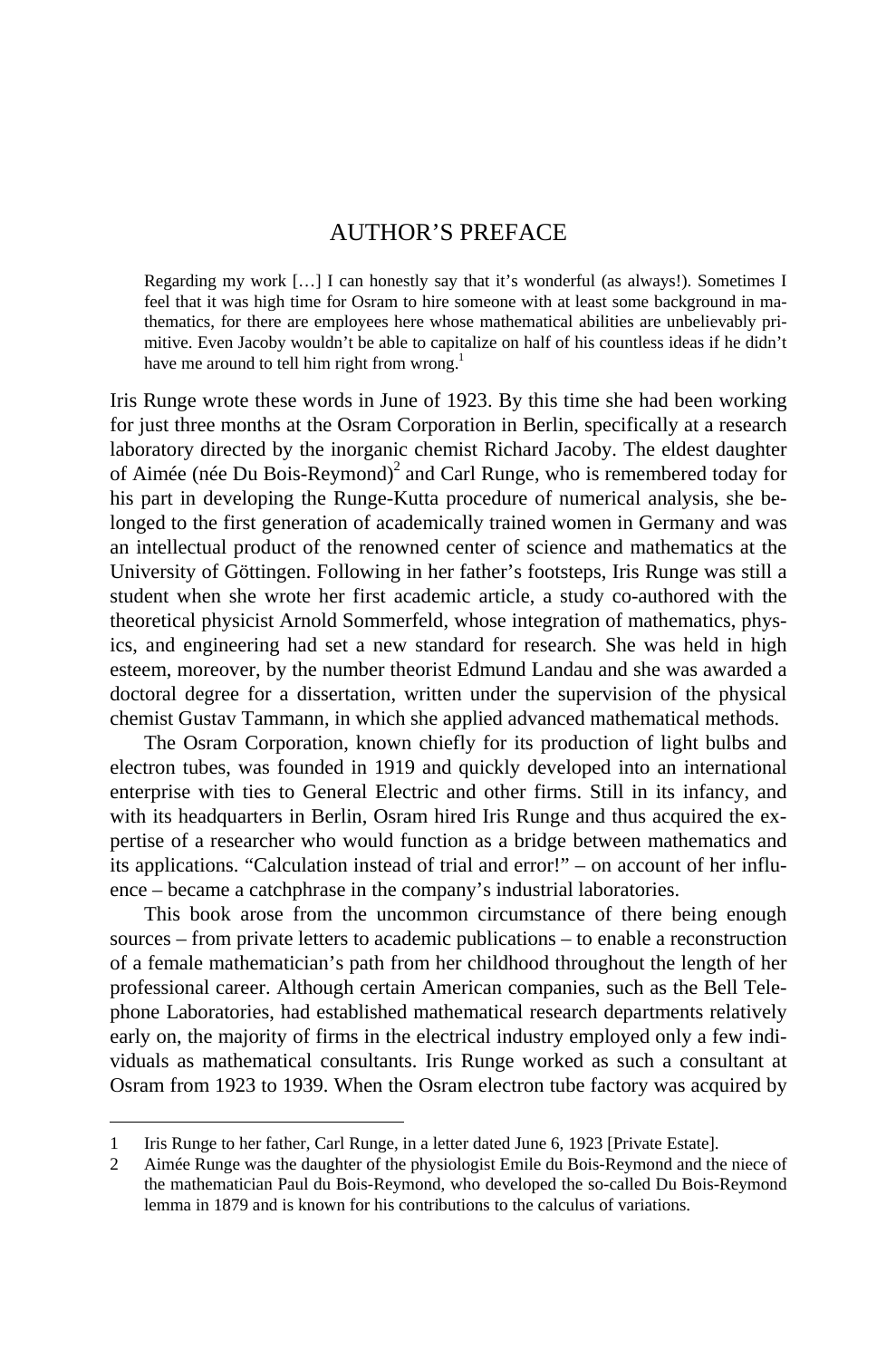#### AUTHOR'S PREFACE

Regarding my work […] I can honestly say that it's wonderful (as always!). Sometimes I feel that it was high time for Osram to hire someone with at least some background in mathematics, for there are employees here whose mathematical abilities are unbelievably primitive. Even Jacoby wouldn't be able to capitalize on half of his countless ideas if he didn't have me around to tell him right from wrong.<sup>1</sup>

Iris Runge wrote these words in June of 1923. By this time she had been working for just three months at the Osram Corporation in Berlin, specifically at a research laboratory directed by the inorganic chemist Richard Jacoby. The eldest daughter of Aimée (née Du Bois-Reymond)<sup>2</sup> and Carl Runge, who is remembered today for his part in developing the Runge-Kutta procedure of numerical analysis, she belonged to the first generation of academically trained women in Germany and was an intellectual product of the renowned center of science and mathematics at the University of Göttingen. Following in her father's footsteps, Iris Runge was still a student when she wrote her first academic article, a study co-authored with the theoretical physicist Arnold Sommerfeld, whose integration of mathematics, physics, and engineering had set a new standard for research. She was held in high esteem, moreover, by the number theorist Edmund Landau and she was awarded a doctoral degree for a dissertation, written under the supervision of the physical chemist Gustav Tammann, in which she applied advanced mathematical methods.

The Osram Corporation, known chiefly for its production of light bulbs and electron tubes, was founded in 1919 and quickly developed into an international enterprise with ties to General Electric and other firms. Still in its infancy, and with its headquarters in Berlin, Osram hired Iris Runge and thus acquired the expertise of a researcher who would function as a bridge between mathematics and its applications. "Calculation instead of trial and error!" – on account of her influence – became a catchphrase in the company's industrial laboratories.

This book arose from the uncommon circumstance of there being enough sources – from private letters to academic publications – to enable a reconstruction of a female mathematician's path from her childhood throughout the length of her professional career. Although certain American companies, such as the Bell Telephone Laboratories, had established mathematical research departments relatively early on, the majority of firms in the electrical industry employed only a few individuals as mathematical consultants. Iris Runge worked as such a consultant at Osram from 1923 to 1939. When the Osram electron tube factory was acquired by

<sup>1</sup> Iris Runge to her father, Carl Runge, in a letter dated June 6, 1923 [Private Estate].

<sup>2</sup> Aimée Runge was the daughter of the physiologist Emile du Bois-Reymond and the niece of the mathematician Paul du Bois-Reymond, who developed the so-called Du Bois-Reymond lemma in 1879 and is known for his contributions to the calculus of variations.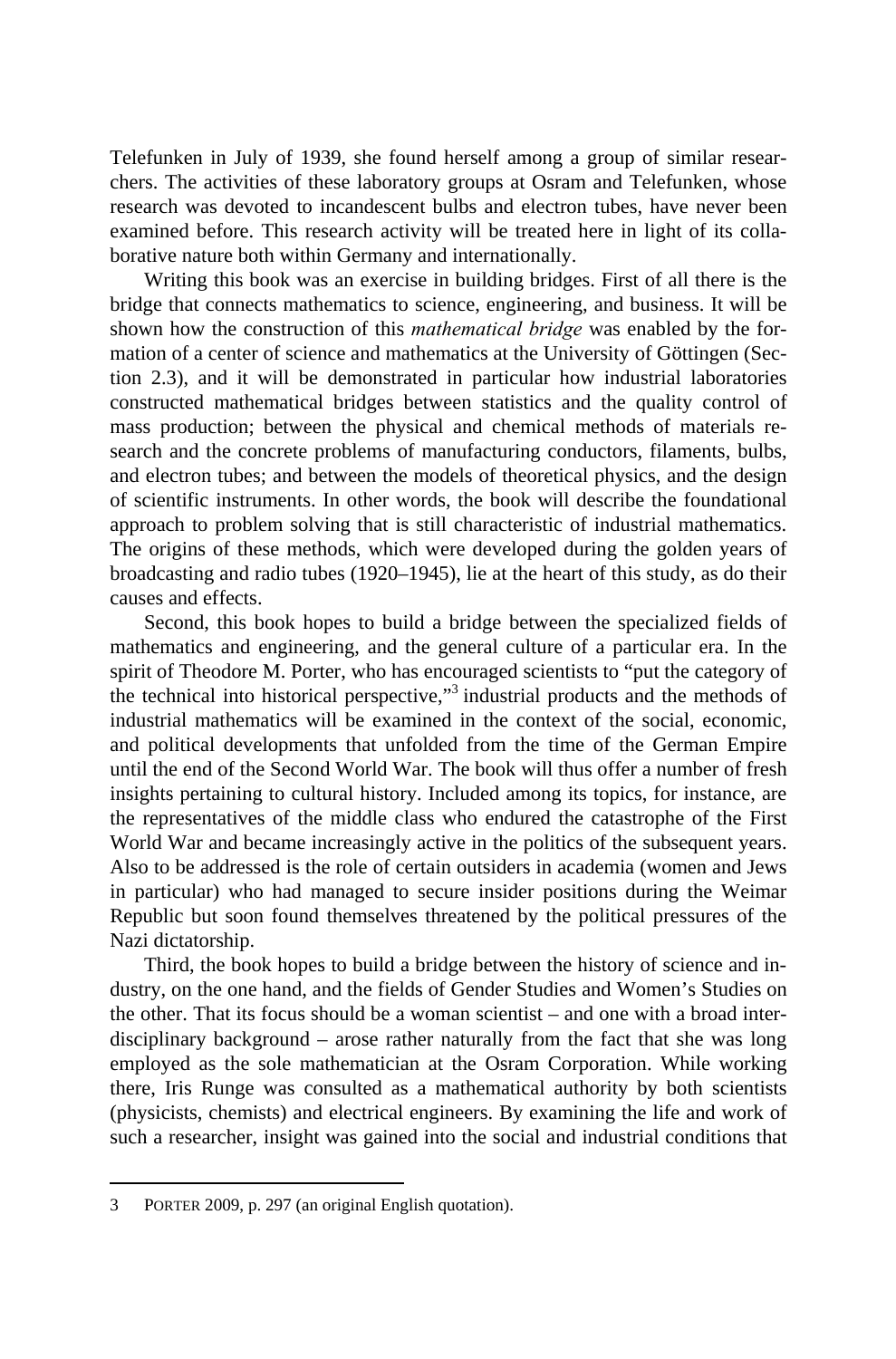Telefunken in July of 1939, she found herself among a group of similar researchers. The activities of these laboratory groups at Osram and Telefunken, whose research was devoted to incandescent bulbs and electron tubes, have never been examined before. This research activity will be treated here in light of its collaborative nature both within Germany and internationally.

Writing this book was an exercise in building bridges. First of all there is the bridge that connects mathematics to science, engineering, and business. It will be shown how the construction of this *mathematical bridge* was enabled by the formation of a center of science and mathematics at the University of Göttingen (Section 2.3), and it will be demonstrated in particular how industrial laboratories constructed mathematical bridges between statistics and the quality control of mass production; between the physical and chemical methods of materials research and the concrete problems of manufacturing conductors, filaments, bulbs, and electron tubes; and between the models of theoretical physics, and the design of scientific instruments. In other words, the book will describe the foundational approach to problem solving that is still characteristic of industrial mathematics. The origins of these methods, which were developed during the golden years of broadcasting and radio tubes (1920–1945), lie at the heart of this study, as do their causes and effects.

Second, this book hopes to build a bridge between the specialized fields of mathematics and engineering, and the general culture of a particular era. In the spirit of Theodore M. Porter, who has encouraged scientists to "put the category of the technical into historical perspective,"<sup>3</sup> industrial products and the methods of industrial mathematics will be examined in the context of the social, economic, and political developments that unfolded from the time of the German Empire until the end of the Second World War. The book will thus offer a number of fresh insights pertaining to cultural history. Included among its topics, for instance, are the representatives of the middle class who endured the catastrophe of the First World War and became increasingly active in the politics of the subsequent years. Also to be addressed is the role of certain outsiders in academia (women and Jews in particular) who had managed to secure insider positions during the Weimar Republic but soon found themselves threatened by the political pressures of the Nazi dictatorship.

Third, the book hopes to build a bridge between the history of science and industry, on the one hand, and the fields of Gender Studies and Women's Studies on the other. That its focus should be a woman scientist – and one with a broad interdisciplinary background – arose rather naturally from the fact that she was long employed as the sole mathematician at the Osram Corporation. While working there, Iris Runge was consulted as a mathematical authority by both scientists (physicists, chemists) and electrical engineers. By examining the life and work of such a researcher, insight was gained into the social and industrial conditions that

<sup>3</sup> PORTER 2009, p. 297 (an original English quotation).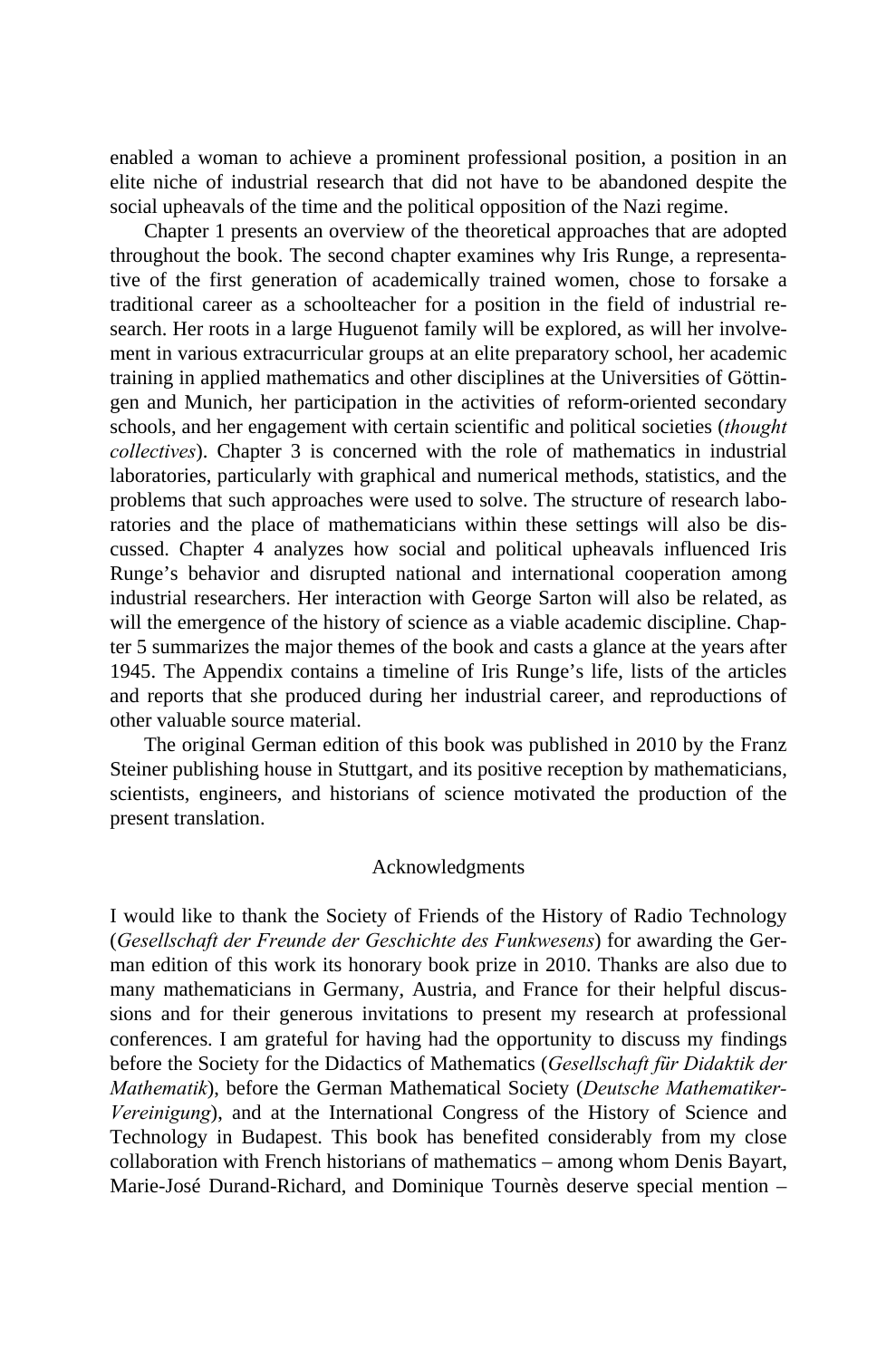enabled a woman to achieve a prominent professional position, a position in an elite niche of industrial research that did not have to be abandoned despite the social upheavals of the time and the political opposition of the Nazi regime.

Chapter 1 presents an overview of the theoretical approaches that are adopted throughout the book. The second chapter examines why Iris Runge, a representative of the first generation of academically trained women, chose to forsake a traditional career as a schoolteacher for a position in the field of industrial research. Her roots in a large Huguenot family will be explored, as will her involvement in various extracurricular groups at an elite preparatory school, her academic training in applied mathematics and other disciplines at the Universities of Göttingen and Munich, her participation in the activities of reform-oriented secondary schools, and her engagement with certain scientific and political societies (*thought collectives*). Chapter 3 is concerned with the role of mathematics in industrial laboratories, particularly with graphical and numerical methods, statistics, and the problems that such approaches were used to solve. The structure of research laboratories and the place of mathematicians within these settings will also be discussed. Chapter 4 analyzes how social and political upheavals influenced Iris Runge's behavior and disrupted national and international cooperation among industrial researchers. Her interaction with George Sarton will also be related, as will the emergence of the history of science as a viable academic discipline. Chapter 5 summarizes the major themes of the book and casts a glance at the years after 1945. The Appendix contains a timeline of Iris Runge's life, lists of the articles and reports that she produced during her industrial career, and reproductions of other valuable source material.

The original German edition of this book was published in 2010 by the Franz Steiner publishing house in Stuttgart, and its positive reception by mathematicians, scientists, engineers, and historians of science motivated the production of the present translation.

#### Acknowledgments

I would like to thank the Society of Friends of the History of Radio Technology (*Gesellschaft der Freunde der Geschichte des Funkwesens*) for awarding the German edition of this work its honorary book prize in 2010. Thanks are also due to many mathematicians in Germany, Austria, and France for their helpful discussions and for their generous invitations to present my research at professional conferences. I am grateful for having had the opportunity to discuss my findings before the Society for the Didactics of Mathematics (*Gesellschaft für Didaktik der Mathematik*), before the German Mathematical Society (*Deutsche Mathematiker-Vereinigung*), and at the International Congress of the History of Science and Technology in Budapest. This book has benefited considerably from my close collaboration with French historians of mathematics – among whom Denis Bayart, Marie-José Durand-Richard, and Dominique Tournès deserve special mention –